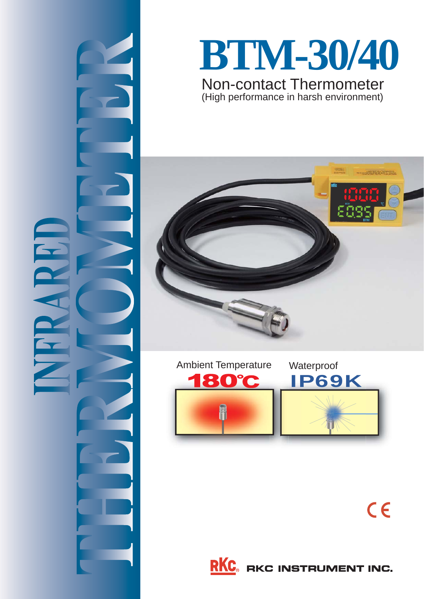

# **BTM-30/40** Non-contact Thermometer

(High performance in harsh environment)







**RKC** RKC INSTRUMENT INC.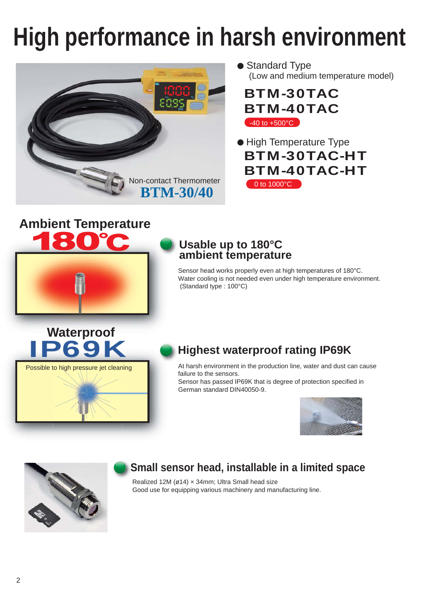# **High performance in harsh environment**



#### ● Standard Type (Low and medium temperature model)

BTM-30TAC BTM-40TAC  $-40$  to  $+500^{\circ}$ C

BTM-30TAC-HT BTM-40TAC-HT 0 to 1000°C ● High Temperature Type

# **Ambient Temperature**



#### **Usable up to 180°C ambient temperature**

Sensor head works properly even at high temperatures of 180°C. Water cooling is not needed even under high temperature environment. (Standard type : 100°C)

Waterproof<br> **IP69K** 

Possible to high pressure jet cleaning

### **Highest waterproof rating IP69K**

At harsh environment in the production line, water and dust can cause failure to the sensors.

Sensor has passed IP69K that is degree of protection specified in German standard DIN40050-9.





## **Small sensor head, installable in a limited space**

Realized 12M (ø14) × 34mm; Ultra Small head size Good use for equipping various machinery and manufacturing line.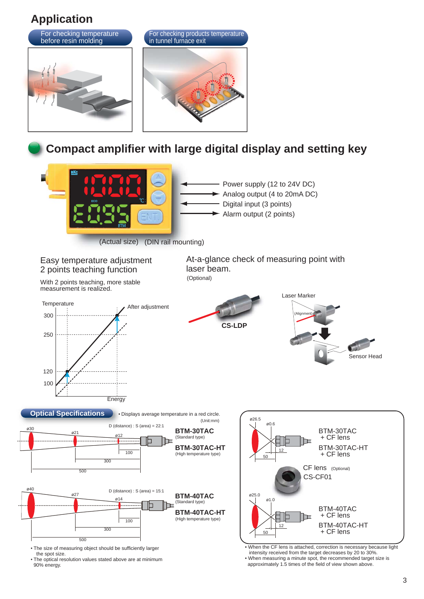## **Application**



• The size of measuring object should be sufficiently larger the spot size.

• The optical resolution values stated above are at minimum 90% energy.

 intensity received from the target decreases by 20 to 30%. • When measuring a minute spot, the recommended target size is approximately 1.5 times of the field of view shown above.